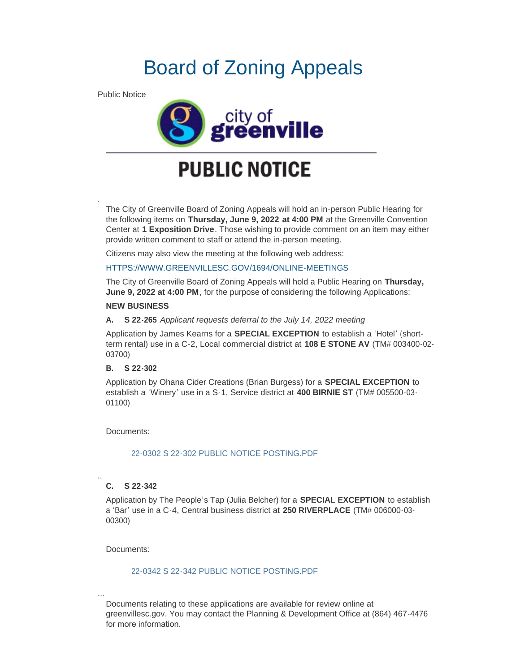# Board of Zoning Appeals

Public Notice

.



# **PUBLIC NOTICE**

The City of Greenville Board of Zoning Appeals will hold an in-person Public Hearing for the following items on **Thursday, June 9, 2022 at 4:00 PM** at the Greenville Convention Center at **1 Exposition Drive**. Those wishing to provide comment on an item may either provide written comment to staff or attend the in-person meeting.

Citizens may also view the meeting at the following web address:

# [HTTPS://WWW.GREENVILLESC.GOV/1694/ONLINE-MEETINGS](https://www.greenvillesc.gov/1694/Online-Meetings)

The City of Greenville Board of Zoning Appeals will hold a Public Hearing on **Thursday, June 9, 2022 at 4:00 PM**, for the purpose of considering the following Applications:

### **NEW BUSINESS**

### **A. S 22-265** *Applicant requests deferral to the July 14, 2022 meeting*

Application by James Kearns for a **SPECIAL EXCEPTION** to establish a 'Hotel' (shortterm rental) use in a C-2, Local commercial district at **108 E STONE AV** (TM# 003400-02- 03700)

# **B. S 22-302**

Application by Ohana Cider Creations (Brian Burgess) for a **SPECIAL EXCEPTION** to establish a 'Winery' use in a S-1, Service district at **400 BIRNIE ST** (TM# 005500-03- 01100)

Documents:

# [22-0302 S 22-302 PUBLIC NOTICE POSTING.PDF](https://greenvillesc.gov/AgendaCenter/ViewFile/Item/9634?fileID=53088)

#### .. **C. S 22-342**

Application by The People's Tap (Julia Belcher) for a **SPECIAL EXCEPTION** to establish a 'Bar' use in a C-4, Central business district at **250 RIVERPLACE** (TM# 006000-03- 00300)

Documents:

...

# [22-0342 S 22-342 PUBLIC NOTICE POSTING.PDF](https://greenvillesc.gov/AgendaCenter/ViewFile/Item/9635?fileID=53089)

Documents relating to these applications are available for review online at greenvillesc.gov. You may contact the Planning & Development Office at (864) 467-4476 for more information.